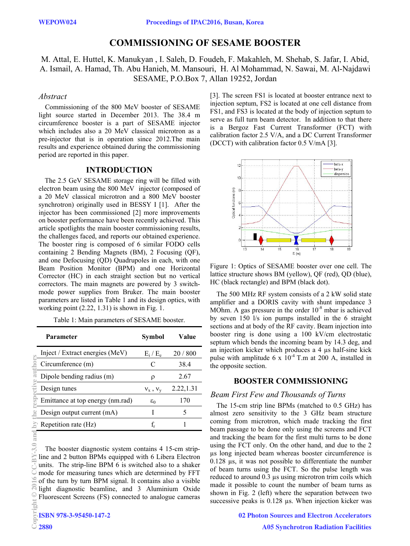# **COMMISSIONING OF SESAME BOOSTER**

M. Attal, E. Huttel, K. Manukyan , I. Saleh, D. Foudeh, F. Makahleh, M. Shehab, S. Jafar, I. Abid, A. Ismail, A. Hamad, Th. Abu Hanieh, M. Mansouri, H. Al Mohammad, N. Sawai, M. Al-Najdawi SESAME, P.O.Box 7, Allan 19252, Jordan

### *Abstract*

Commissioning of the 800 MeV booster of SESAME light source started in December 2013. The 38.4 m circumference booster is a part of SESAME injector which includes also a 20 MeV classical microtron as a pre-injector that is in operation since 2012.The main results and experience obtained during the commissioning period are reported in this paper.

## **INTRODUCTION**

The 2.5 GeV SESAME storage ring will be filled with electron beam using the 800 MeV injector (composed of a 20 MeV classical microtron and a 800 MeV booster synchrotron) originally used in BESSY I [1]. After the injector has been commissioned [2] more improvements on booster performance have been recently achieved. This article spotlights the main booster commissioning results, the challenges faced, and reports our obtained experience. The booster ring is composed of 6 similar FODO cells containing 2 Bending Magnets (BM), 2 Focusing (QF), and one Defocusing (QD) Quadrupoles in each, with one Beam Position Monitor (BPM) and one Horizontal Corrector (HC) in each straight section but no vertical correctors. The main magnets are powered by 3 switchmode power supplies from Bruker. The main booster parameters are listed in Table 1 and its design optics, with working point  $(2.22, 1.31)$  is shown in Fig. 1.

Table 1: Main parameters of SESAME booster.

| <b>Parameter</b>                                                                                                                                                                                                                                                                                                                                                                                                                                  | Symbol          | Value      |  |
|---------------------------------------------------------------------------------------------------------------------------------------------------------------------------------------------------------------------------------------------------------------------------------------------------------------------------------------------------------------------------------------------------------------------------------------------------|-----------------|------------|--|
| Inject / Extract energies (MeV)                                                                                                                                                                                                                                                                                                                                                                                                                   | $E_i / E_e$     | 20/800     |  |
| Circumference (m)                                                                                                                                                                                                                                                                                                                                                                                                                                 | C               | 38.4       |  |
| Dipole bending radius (m)                                                                                                                                                                                                                                                                                                                                                                                                                         | ρ               | 2.67       |  |
| Design tunes                                                                                                                                                                                                                                                                                                                                                                                                                                      | $v_x$ , $v_y$   | 2.22, 1.31 |  |
| Emittance at top energy (nm.rad)                                                                                                                                                                                                                                                                                                                                                                                                                  | $\varepsilon_0$ | 170        |  |
| Design output current (mA)                                                                                                                                                                                                                                                                                                                                                                                                                        | I               | 5          |  |
| Repetition rate (Hz)                                                                                                                                                                                                                                                                                                                                                                                                                              | $f_r$           | 1          |  |
| The booster diagnostic system contains 4 15-cm strip-<br>line and 2 button BPMs equipped with 6 Libera Electron<br>units. The strip-line BPM 6 is switched also to a shaker<br>mode for measuring tunes which are determined by FFT<br>of the turn by turn BPM signal. It contains also a visible<br>light diagnostic beamline, and 3 Aluminium Oxide<br>Fluorescent Screens (FS) connected to analogue cameras<br>ISBN 978-3-95450-147-2<br>2880 |                 |            |  |

3.0 and

[3]. The screen FS1 is located at booster entrance next to injection septum, FS2 is located at one cell distance from FS1, and FS3 is located at the body of injection septum to serve as full turn beam detector. In addition to that there is a Bergoz Fast Current Transformer (FCT) with calibration factor 2.5 V/A, and a DC Current Transformer (DCCT) with calibration factor 0.5 V/mA [3].



Figure 1: Optics of SESAME booster over one cell. The lattice structure shows BM (yellow), QF (red), QD (blue), HC (black rectangle) and BPM (black dot).

The 500 MHz RF system consists of a 2 kW solid state amplifier and a DORIS cavity with shunt impedance 3 MOhm. A gas pressure in the order  $10^{-8}$  mbar is achieved by seven 150 l/s ion pumps installed in the 6 straight sections and at body of the RF cavity. Beam injection into booster ring is done using a 100 kV/cm electrostatic septum which bends the incoming beam by 14.3 deg, and an injection kicker which produces a 4 µs half-sine kick pulse with amplitude 6 x  $10^{-4}$  T.m at 200 A, installed in the opposite section.

# **BOOSTER COMMISSIONING**

### *Beam First Few and Thousands of Turns*

The 15-cm strip line BPMs (matched to 0.5 GHz) has almost zero sensitivity to the 3 GHz beam structure coming from microtron, which made tracking the first beam passage to be done only using the screens and FCT and tracking the beam for the first multi turns to be done using the FCT only. On the other hand, and due to the 2 µs long injected beam whereas booster circumference is 0.128 µs, it was not possible to differentiate the number of beam turns using the FCT. So the pulse length was reduced to around 0.3 µs using microtron trim coils which made it possible to count the number of beam turns as shown in Fig. 2 (left) where the separation between two successive peaks is 0.128  $\mu$ s. When injection kicker was

> 02 Photon Sources and Electron Accelerators A05 Synchrotron Radiation Facilities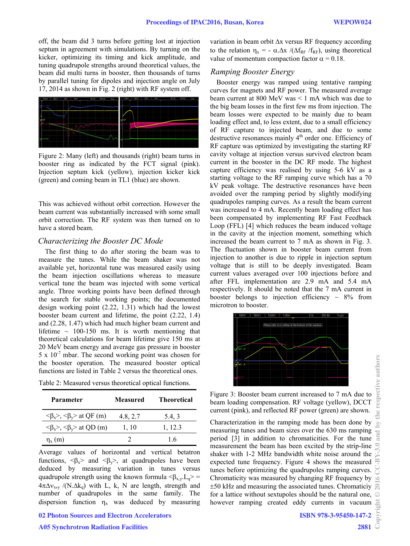off, the beam did 3 turns before getting lost at injection septum in agreement with simulations. By turning on the kicker, optimizing its timing and kick amplitude, and tuning quadrupole strengths around theoretical values, the beam did multi turns in booster, then thousands of turns by parallel tuning for dipoles and injection angle on July 17, 2014 as shown in Fig. 2 (right) with RF system off.



Figure 2: Many (left) and thousands (right) beam turns in booster ring as indicated by the FCT signal (pink). Injection septum kick (yellow), injection kicker kick (green) and coming beam in TL1 (blue) are shown.

This was achieved without orbit correction. However the beam current was substantially increased with some small orbit correction. The RF system was then turned on to have a stored beam.

### *Characterizing the Booster DC Mode*

The first thing to do after storing the beam was to measure the tunes. While the beam shaker was not available yet, horizontal tune was measured easily using the beam injection oscillations whereas to measure vertical tune the beam was injected with some vertical angle. Three working points have been defined through the search for stable working points; the documented design working point (2.22, 1.31) which had the lowest booster beam current and lifetime, the point (2.22, 1.4) and (2.28, 1.47) which had much higher beam current and lifetime  $\sim$  100-150 ms. It is worth mentioning that theoretical calculations for beam lifetime give 150 ms at 20 MeV beam energy and average gas pressure in booster  $5 \times 10^{-7}$  mbar. The second working point was chosen for the booster operation. The measured booster optical functions are listed in Table 2 versus the theoretical ones.

Table 2: Measured versus theoretical optical functions.

| Parameter                                                       | <b>Measured</b> | <b>Theoretical</b> |
|-----------------------------------------------------------------|-----------------|--------------------|
| $\langle \beta_x \rangle$ , $\langle \beta_y \rangle$ at QF (m) | 4.8, 2.7        | 5.4, 3             |
| $\langle \beta_x \rangle$ , $\langle \beta_y \rangle$ at QD (m) | 1, 10           | 1, 12.3            |
| $\eta_{x}$ (m)                                                  |                 | 16                 |

Average values of horizontal and vertical betatron functions,  $\langle \beta_x \rangle$  and  $\langle \beta_y \rangle$ , at quadrupoles have been deduced by measuring variation in tunes versus quadrupole strength using the known formula  $\langle \beta_{x} y, L_q \rangle =$  $4\pi\Delta v_{x,y}$  /(N. $\Delta k_q$ ) with L, k, N are length, strength and number of quadrupoles in the same family. The dispersion function  $\eta_x$  was deduced by measuring

A05 Synchrotron Radiation Facilities

variation in beam orbit  $\Delta x$  versus RF frequency according to the relation  $\eta_x = -\alpha \Delta x / (\Delta f_{RF} / f_{RF})$ , using theoretical value of momentum compaction factor  $\alpha = 0.18$ .

# *Ramping Booster Energy*

Booster energy was ramped using tentative ramping curves for magnets and RF power. The measured average beam current at 800 MeV was < 1 mA which was due to the big beam losses in the first few ms from injection. The beam losses were expected to be mainly due to beam loading effect and, to less extent, due to a small efficiency of RF capture to injected beam, and due to some destructive resonances mainly 4<sup>th</sup> order one. Efficiency of RF capture was optimized by investigating the starting RF cavity voltage at injection versus survived electron beam current in the booster in the DC RF mode. The highest capture efficiency was realised by using 5-6 kV as a starting voltage to the RF ramping curve which has a 70 kV peak voltage. The destructive resonances have been avoided over the ramping period by slightly modifying quadrupoles ramping curves. As a result the beam current was increased to 4 mA. Recently beam loading effect has been compensated by implementing RF Fast Feedback Loop (FFL) [4] which reduces the beam induced voltage in the cavity at the injection moment, something which increased the beam current to 7 mA as shown in Fig. 3. The fluctuation shown in booster beam current from injection to another is due to ripple in injection septum voltage that is still to be deeply investigated. Beam current values averaged over 100 injections before and after FFL implementation are 2.9 mA and 5.4 mA respectively. It should be noted that the 7 mA current in booster belongs to injection efficiency  $\sim 8\%$  from microtron to booster.



Figure 3: Booster beam current increased to 7 mA due to beam loading compensation. RF voltage (yellow), DCCT current (pink), and reflected RF power (green) are shown.

Characterization in the ramping mode has been done by measuring tunes and beam sizes over the 630 ms ramping measuring tunes and beam sizes over the 630 ms ramping  $\frac{1}{2}$  period [3] in addition to chromaticities. For the tune  $\frac{1}{3}$ measurement the beam has been excited by the strip-line shaker with 1-2 MHz bandwidth white noise around the expected tune frequency. Figure 4 shows the measured tunes before optimizing the quadrupoles ramping curves. Chromaticity was measured by changing RF frequency by 50 kHz and measuring the associated tunes. Chromaticiy for a lattice without sextupoles should be the natural one, however ramping created eddy currents in vacuum